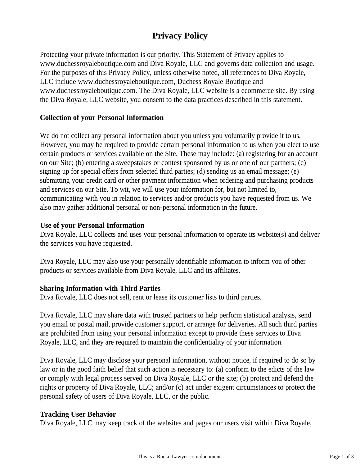# **Privacy Policy**

Protecting your private information is our priority. This Statement of Privacy applies to www.duchessroyaleboutique.com and Diva Royale, LLC and governs data collection and usage. For the purposes of this Privacy Policy, unless otherwise noted, all references to Diva Royale, LLC include www.duchessroyaleboutique.com, Duchess Royale Boutique and www.duchessroyaleboutique.com. The Diva Royale, LLC website is a ecommerce site. By using the Diva Royale, LLC website, you consent to the data practices described in this statement.

## **Collection of your Personal Information**

We do not collect any personal information about you unless you voluntarily provide it to us. However, you may be required to provide certain personal information to us when you elect to use certain products or services available on the Site. These may include: (a) registering for an account on our Site; (b) entering a sweepstakes or contest sponsored by us or one of our partners; (c) signing up for special offers from selected third parties; (d) sending us an email message; (e) submitting your credit card or other payment information when ordering and purchasing products and services on our Site. To wit, we will use your information for, but not limited to, communicating with you in relation to services and/or products you have requested from us. We also may gather additional personal or non-personal information in the future.

## **Use of your Personal Information**

Diva Royale, LLC collects and uses your personal information to operate its website(s) and deliver the services you have requested.

Diva Royale, LLC may also use your personally identifiable information to inform you of other products or services available from Diva Royale, LLC and its affiliates.

#### **Sharing Information with Third Parties**

Diva Royale, LLC does not sell, rent or lease its customer lists to third parties.

Diva Royale, LLC may share data with trusted partners to help perform statistical analysis, send you email or postal mail, provide customer support, or arrange for deliveries. All such third parties are prohibited from using your personal information except to provide these services to Diva Royale, LLC, and they are required to maintain the confidentiality of your information.

Diva Royale, LLC may disclose your personal information, without notice, if required to do so by law or in the good faith belief that such action is necessary to: (a) conform to the edicts of the law or comply with legal process served on Diva Royale, LLC or the site; (b) protect and defend the rights or property of Diva Royale, LLC; and/or (c) act under exigent circumstances to protect the personal safety of users of Diva Royale, LLC, or the public.

## **Tracking User Behavior**

Diva Royale, LLC may keep track of the websites and pages our users visit within Diva Royale,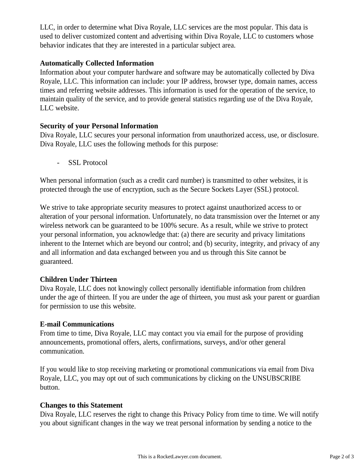LLC, in order to determine what Diva Royale, LLC services are the most popular. This data is used to deliver customized content and advertising within Diva Royale, LLC to customers whose behavior indicates that they are interested in a particular subject area.

## **Automatically Collected Information**

Information about your computer hardware and software may be automatically collected by Diva Royale, LLC. This information can include: your IP address, browser type, domain names, access times and referring website addresses. This information is used for the operation of the service, to maintain quality of the service, and to provide general statistics regarding use of the Diva Royale, LLC website.

## **Security of your Personal Information**

Diva Royale, LLC secures your personal information from unauthorized access, use, or disclosure. Diva Royale, LLC uses the following methods for this purpose:

- SSL Protocol

When personal information (such as a credit card number) is transmitted to other websites, it is protected through the use of encryption, such as the Secure Sockets Layer (SSL) protocol.

We strive to take appropriate security measures to protect against unauthorized access to or alteration of your personal information. Unfortunately, no data transmission over the Internet or any wireless network can be guaranteed to be 100% secure. As a result, while we strive to protect your personal information, you acknowledge that: (a) there are security and privacy limitations inherent to the Internet which are beyond our control; and (b) security, integrity, and privacy of any and all information and data exchanged between you and us through this Site cannot be guaranteed.

#### **Children Under Thirteen**

Diva Royale, LLC does not knowingly collect personally identifiable information from children under the age of thirteen. If you are under the age of thirteen, you must ask your parent or guardian for permission to use this website.

#### **E-mail Communications**

From time to time, Diva Royale, LLC may contact you via email for the purpose of providing announcements, promotional offers, alerts, confirmations, surveys, and/or other general communication.

If you would like to stop receiving marketing or promotional communications via email from Diva Royale, LLC, you may opt out of such communications by clicking on the UNSUBSCRIBE button.

#### **Changes to this Statement**

Diva Royale, LLC reserves the right to change this Privacy Policy from time to time. We will notify you about significant changes in the way we treat personal information by sending a notice to the